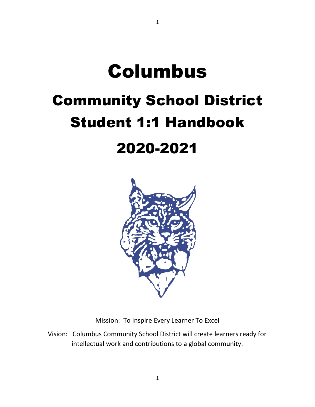# Columbus Community School District Student 1:1 Handbook 2020-2021

1



Mission: To Inspire Every Learner To Excel

Vision: Columbus Community School District will create learners ready for intellectual work and contributions to a global community.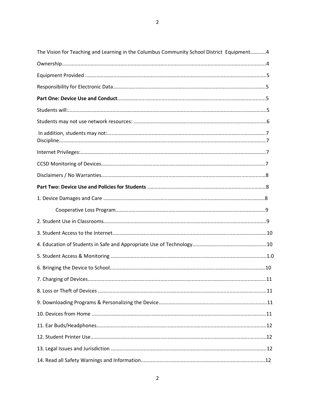| The Vision for Teaching and Learning in the Columbus Community School District Equipment4 |
|-------------------------------------------------------------------------------------------|
|                                                                                           |
|                                                                                           |
|                                                                                           |
|                                                                                           |
|                                                                                           |
|                                                                                           |
|                                                                                           |
|                                                                                           |
|                                                                                           |
|                                                                                           |
|                                                                                           |
|                                                                                           |
|                                                                                           |
|                                                                                           |
|                                                                                           |
|                                                                                           |
|                                                                                           |
|                                                                                           |
|                                                                                           |
|                                                                                           |
|                                                                                           |
|                                                                                           |
|                                                                                           |
|                                                                                           |
|                                                                                           |
|                                                                                           |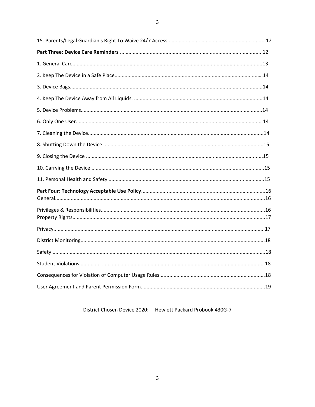District Chosen Device 2020: Hewlett Packard Probook 430G-7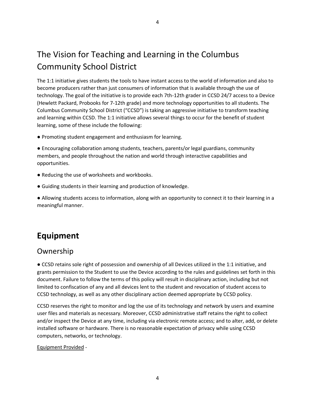# The Vision for Teaching and Learning in the Columbus Community School District

The 1:1 initiative gives students the tools to have instant access to the world of information and also to become producers rather than just consumers of information that is available through the use of technology. The goal of the initiative is to provide each 7th-12th grader in CCSD 24/7 access to a Device (Hewlett Packard, Probooks for 7-12th grade) and more technology opportunities to all students. The Columbus Community School District ("CCSD") is taking an aggressive initiative to transform teaching and learning within CCSD. The 1:1 initiative allows several things to occur for the benefit of student learning, some of these include the following:

● Promoting student engagement and enthusiasm for learning.

● Encouraging collaboration among students, teachers, parents/or legal guardians, community members, and people throughout the nation and world through interactive capabilities and opportunities.

- Reducing the use of worksheets and workbooks.
- Guiding students in their learning and production of knowledge.

● Allowing students access to information, along with an opportunity to connect it to their learning in a meaningful manner.

### **Equipment**

### Ownership

● CCSD retains sole right of possession and ownership of all Devices utilized in the 1:1 initiative, and grants permission to the Student to use the Device according to the rules and guidelines set forth in this document. Failure to follow the terms of this policy will result in disciplinary action, including but not limited to confiscation of any and all devices lent to the student and revocation of student access to CCSD technology, as well as any other disciplinary action deemed appropriate by CCSD policy.

CCSD reserves the right to monitor and log the use of its technology and network by users and examine user files and materials as necessary. Moreover, CCSD administrative staff retains the right to collect and/or inspect the Device at any time, including via electronic remote access; and to alter, add, or delete installed software or hardware. There is no reasonable expectation of privacy while using CCSD computers, networks, or technology.

#### Equipment Provided -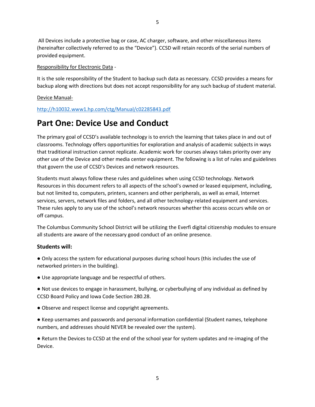All Devices include a protective bag or case, AC charger, software, and other miscellaneous items (hereinafter collectively referred to as the "Device"). CCSD will retain records of the serial numbers of provided equipment.

#### Responsibility for Electronic Data -

It is the sole responsibility of the Student to backup such data as necessary. CCSD provides a means for backup along with directions but does not accept responsibility for any such backup of student material.

#### Device Manual-

#### <http://h10032.www1.hp.com/ctg/Manual/c02285843.pdf>

### **Part One: Device Use and Conduct**

The primary goal of CCSD's available technology is to enrich the learning that takes place in and out of classrooms. Technology offers opportunities for exploration and analysis of academic subjects in ways that traditional instruction cannot replicate. Academic work for courses always takes priority over any other use of the Device and other media center equipment. The following is a list of rules and guidelines that govern the use of CCSD's Devices and network resources.

Students must always follow these rules and guidelines when using CCSD technology. Network Resources in this document refers to all aspects of the school's owned or leased equipment, including, but not limited to, computers, printers, scanners and other peripherals, as well as email, Internet services, servers, network files and folders, and all other technology-related equipment and services. These rules apply to any use of the school's network resources whether this access occurs while on or off campus.

The Columbus Community School District will be utilizing the Everfi digital citizenship modules to ensure all students are aware of the necessary good conduct of an online presence.

#### **Students will:**

● Only access the system for educational purposes during school hours (this includes the use of networked printers in the building).

● Use appropriate language and be respectful of others.

● Not use devices to engage in harassment, bullying, or cyberbullying of any individual as defined by CCSD Board Policy and Iowa Code Section 280.28.

- Observe and respect license and copyright agreements.
- Keep usernames and passwords and personal information confidential (Student names, telephone numbers, and addresses should NEVER be revealed over the system).

● Return the Devices to CCSD at the end of the school year for system updates and re-imaging of the Device.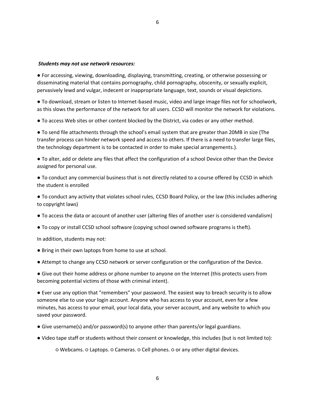#### *Students may not use network resources:*

● For accessing, viewing, downloading, displaying, transmitting, creating, or otherwise possessing or disseminating material that contains pornography, child pornography, obscenity, or sexually explicit, pervasively lewd and vulgar, indecent or inappropriate language, text, sounds or visual depictions.

● To download, stream or listen to Internet-based music, video and large image files not for schoolwork, as this slows the performance of the network for all users. CCSD will monitor the network for violations.

● To access Web sites or other content blocked by the District, via codes or any other method.

● To send file attachments through the school's email system that are greater than 20MB in size (The transfer process can hinder network speed and access to others. If there is a need to transfer large files, the technology department is to be contacted in order to make special arrangements.).

● To alter, add or delete any files that affect the configuration of a school Device other than the Device assigned for personal use.

● To conduct any commercial business that is not directly related to a course offered by CCSD in which the student is enrolled

● To conduct any activity that violates school rules, CCSD Board Policy, or the law (this includes adhering to copyright laws)

- To access the data or account of another user (altering files of another user is considered vandalism)
- To copy or install CCSD school software (copying school owned software programs is theft).

In addition, students may not:

- Bring in their own laptops from home to use at school.
- Attempt to change any CCSD network or server configuration or the configuration of the Device.

● Give out their home address or phone number to anyone on the Internet (this protects users from becoming potential victims of those with criminal intent).

● Ever use any option that "remembers" your password. The easiest way to breach security is to allow someone else to use your login account. Anyone who has access to your account, even for a few minutes, has access to your email, your local data, your server account, and any website to which you saved your password.

- Give username(s) and/or password(s) to anyone other than parents/or legal guardians.
- Video tape staff or students without their consent or knowledge, this includes (but is not limited to):

○ Webcams. ○ Laptops. ○ Cameras. ○ Cell phones. ○ or any other digital devices.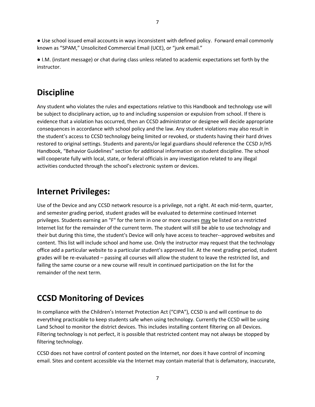● Use school issued email accounts in ways inconsistent with defined policy. Forward email commonly known as "SPAM," Unsolicited Commercial Email (UCE), or "junk email."

● I.M. (instant message) or chat during class unless related to academic expectations set forth by the instructor.

### **Discipline**

Any student who violates the rules and expectations relative to this Handbook and technology use will be subject to disciplinary action, up to and including suspension or expulsion from school. If there is evidence that a violation has occurred, then an CCSD administrator or designee will decide appropriate consequences in accordance with school policy and the law. Any student violations may also result in the student's access to CCSD technology being limited or revoked, or students having their hard drives restored to original settings. Students and parents/or legal guardians should reference the CCSD Jr/HS Handbook, "Behavior Guidelines" section for additional information on student discipline. The school will cooperate fully with local, state, or federal officials in any investigation related to any illegal activities conducted through the school's electronic system or devices.

### **Internet Privileges:**

Use of the Device and any CCSD network resource is a privilege, not a right. At each mid-term, quarter, and semester grading period, student grades will be evaluated to determine continued Internet privileges. Students earning an "F" for the term in one or more courses may be listed on a restricted Internet list for the remainder of the current term. The student will still be able to use technology and their but during this time, the student's Device will only have access to teacher--approved websites and content. This list will include school and home use. Only the instructor may request that the technology office add a particular website to a particular student's approved list. At the next grading period, student grades will be re-evaluated – passing all courses will allow the student to leave the restricted list, and failing the same course or a new course will result in continued participation on the list for the remainder of the next term.

# **CCSD Monitoring of Devices**

In compliance with the Children's Internet Protection Act ("CIPA"), CCSD is and will continue to do everything practicable to keep students safe when using technology. Currently the CCSD will be using Land School to monitor the district devices. This includes installing content filtering on all Devices. Filtering technology is not perfect, it is possible that restricted content may not always be stopped by filtering technology.

CCSD does not have control of content posted on the Internet, nor does it have control of incoming email. Sites and content accessible via the Internet may contain material that is defamatory, inaccurate,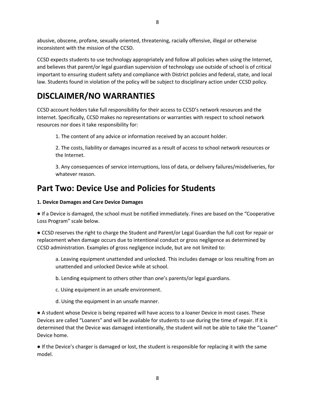abusive, obscene, profane, sexually oriented, threatening, racially offensive, illegal or otherwise inconsistent with the mission of the CCSD.

CCSD expects students to use technology appropriately and follow all policies when using the Internet, and believes that parent/or legal guardian supervision of technology use outside of school is of critical important to ensuring student safety and compliance with District policies and federal, state, and local law. Students found in violation of the policy will be subject to disciplinary action under CCSD policy.

### **DISCLAIMER/NO WARRANTIES**

CCSD account holders take full responsibility for their access to CCSD's network resources and the Internet. Specifically, CCSD makes no representations or warranties with respect to school network resources nor does it take responsibility for:

1. The content of any advice or information received by an account holder.

2. The costs, liability or damages incurred as a result of access to school network resources or the Internet.

3. Any consequences of service interruptions, loss of data, or delivery failures/misdeliveries, for whatever reason.

### **Part Two: Device Use and Policies for Students**

#### **1. Device Damages and Care Device Damages**

● If a Device is damaged, the school must be notified immediately. Fines are based on the "Cooperative Loss Program" scale below.

● CCSD reserves the right to charge the Student and Parent/or Legal Guardian the full cost for repair or replacement when damage occurs due to intentional conduct or gross negligence as determined by CCSD administration. Examples of gross negligence include, but are not limited to:

a. Leaving equipment unattended and unlocked. This includes damage or loss resulting from an unattended and unlocked Device while at school.

- b. Lending equipment to others other than one's parents/or legal guardians.
- c. Using equipment in an unsafe environment.
- d. Using the equipment in an unsafe manner.

● A student whose Device is being repaired will have access to a loaner Device in most cases. These Devices are called "Loaners" and will be available for students to use during the time of repair. If it is determined that the Device was damaged intentionally, the student will not be able to take the "Loaner" Device home.

● If the Device's charger is damaged or lost, the student is responsible for replacing it with the same model.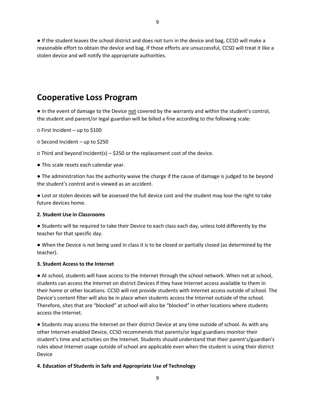● If the student leaves the school district and does not turn in the device and bag, CCSD will make a reasonable effort to obtain the device and bag. If those efforts are unsuccessful, CCSD will treat it like a stolen device and will notify the appropriate authorities.

### **Cooperative Loss Program**

● In the event of damage to the Device not covered by the warranty and within the student's control, the student and parent/or legal guardian will be billed a fine according to the following scale:

○ First Incident – up to \$100

○ Second Incident – up to \$250

○ Third and beyond Incident(s) – \$250 or the replacement cost of the device.

● This scale resets each calendar year.

● The administration has the authority waive the charge if the cause of damage is judged to be beyond the student's control and is viewed as an accident.

● Lost or stolen devices will be assessed the full device cost and the student may lose the right to take future devices home.

#### **2. Student Use in Classrooms**

● Students will be required to take their Device to each class each day, unless told differently by the teacher for that specific day.

● When the Device is not being used in class it is to be closed or partially closed (as determined by the teacher).

#### **3. Student Access to the Internet**

● At school, students will have access to the Internet through the school network. When not at school, students can access the Internet on district Devices if they have Internet access available to them in their home or other locations. CCSD will not provide students with Internet access outside of school. The Device's content filter will also be in place when students access the Internet outside of the school. Therefore, sites that are "blocked" at school will also be "blocked" in other locations where students access the Internet.

● Students may access the Internet on their district Device at any time outside of school. As with any other Internet-enabled Device, CCSD recommends that parents/or legal guardians monitor their student's time and activities on the Internet. Students should understand that their parent's/guardian's rules about Internet usage outside of school are applicable even when the student is using their district Device

#### **4. Education of Students in Safe and Appropriate Use of Technology**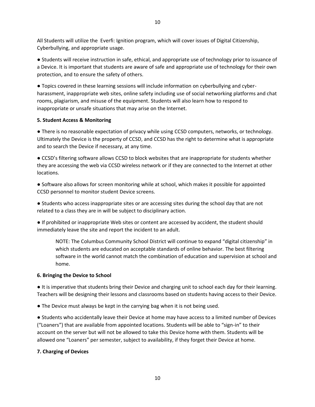All Students will utilize the Everfi: Ignition program, which will cover issues of Digital Citizenship, Cyberbullying, and appropriate usage.

● Students will receive instruction in safe, ethical, and appropriate use of technology prior to issuance of a Device. It is important that students are aware of safe and appropriate use of technology for their own protection, and to ensure the safety of others.

● Topics covered in these learning sessions will include information on cyberbullying and cyberharassment, inappropriate web sites, online safety including use of social networking platforms and chat rooms, plagiarism, and misuse of the equipment. Students will also learn how to respond to inappropriate or unsafe situations that may arise on the Internet.

#### **5. Student Access & Monitoring**

● There is no reasonable expectation of privacy while using CCSD computers, networks, or technology. Ultimately the Device is the property of CCSD, and CCSD has the right to determine what is appropriate and to search the Device if necessary, at any time.

● CCSD's filtering software allows CCSD to block websites that are inappropriate for students whether they are accessing the web via CCSD wireless network or if they are connected to the Internet at other locations.

● Software also allows for screen monitoring while at school, which makes it possible for appointed CCSD personnel to monitor student Device screens.

● Students who access inappropriate sites or are accessing sites during the school day that are not related to a class they are in will be subject to disciplinary action.

● If prohibited or inappropriate Web sites or content are accessed by accident, the student should immediately leave the site and report the incident to an adult.

NOTE: The Columbus Community School District will continue to expand "digital citizenship" in which students are educated on acceptable standards of online behavior. The best filtering software in the world cannot match the combination of education and supervision at school and home.

#### **6. Bringing the Device to School**

● It is imperative that students bring their Device and charging unit to school each day for their learning. Teachers will be designing their lessons and classrooms based on students having access to their Device.

● The Device must always be kept in the carrying bag when it is not being used.

● Students who accidentally leave their Device at home may have access to a limited number of Devices ("Loaners") that are available from appointed locations. Students will be able to "sign-in" to their account on the server but will not be allowed to take this Device home with them. Students will be allowed one "Loaners" per semester, subject to availability, if they forget their Device at home.

#### **7. Charging of Devices**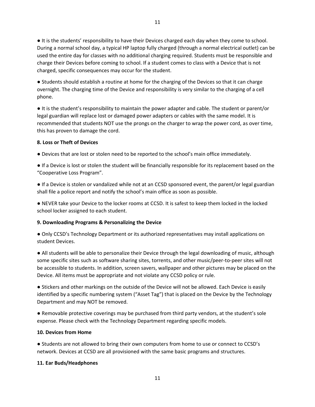● It is the students' responsibility to have their Devices charged each day when they come to school. During a normal school day, a typical HP laptop fully charged (through a normal electrical outlet) can be used the entire day for classes with no additional charging required. Students must be responsible and charge their Devices before coming to school. If a student comes to class with a Device that is not charged, specific consequences may occur for the student.

● Students should establish a routine at home for the charging of the Devices so that it can charge overnight. The charging time of the Device and responsibility is very similar to the charging of a cell phone.

● It is the student's responsibility to maintain the power adapter and cable. The student or parent/or legal guardian will replace lost or damaged power adapters or cables with the same model. It is recommended that students NOT use the prongs on the charger to wrap the power cord, as over time, this has proven to damage the cord.

#### **8. Loss or Theft of Devices**

● Devices that are lost or stolen need to be reported to the school's main office immediately.

● If a Device is lost or stolen the student will be financially responsible for its replacement based on the "Cooperative Loss Program".

● If a Device is stolen or vandalized while not at an CCSD sponsored event, the parent/or legal guardian shall file a police report and notify the school's main office as soon as possible.

● NEVER take your Device to the locker rooms at CCSD. It is safest to keep them locked in the locked school locker assigned to each student.

#### **9. Downloading Programs & Personalizing the Device**

● Only CCSD's Technology Department or its authorized representatives may install applications on student Devices.

● All students will be able to personalize their Device through the legal downloading of music, although some specific sites such as software sharing sites, torrents, and other music/peer-to-peer sites will not be accessible to students. In addition, screen savers, wallpaper and other pictures may be placed on the Device. All items must be appropriate and not violate any CCSD policy or rule.

● Stickers and other markings on the outside of the Device will not be allowed. Each Device is easily identified by a specific numbering system ("Asset Tag") that is placed on the Device by the Technology Department and may NOT be removed.

● Removable protective coverings may be purchased from third party vendors, at the student's sole expense. Please check with the Technology Department regarding specific models.

#### **10. Devices from Home**

● Students are not allowed to bring their own computers from home to use or connect to CCSD's network. Devices at CCSD are all provisioned with the same basic programs and structures.

#### **11. Ear Buds/Headphones**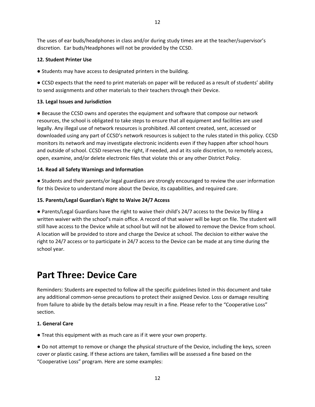The uses of ear buds/headphones in class and/or during study times are at the teacher/supervisor's discretion. Ear buds/Headphones will not be provided by the CCSD.

#### **12. Student Printer Use**

● Students may have access to designated printers in the building.

● CCSD expects that the need to print materials on paper will be reduced as a result of students' ability to send assignments and other materials to their teachers through their Device.

#### **13. Legal Issues and Jurisdiction**

● Because the CCSD owns and operates the equipment and software that compose our network resources, the school is obligated to take steps to ensure that all equipment and facilities are used legally. Any illegal use of network resources is prohibited. All content created, sent, accessed or downloaded using any part of CCSD's network resources is subject to the rules stated in this policy. CCSD monitors its network and may investigate electronic incidents even if they happen after school hours and outside of school. CCSD reserves the right, if needed, and at its sole discretion, to remotely access, open, examine, and/or delete electronic files that violate this or any other District Policy.

#### **14. Read all Safety Warnings and Information**

● Students and their parents/or legal guardians are strongly encouraged to review the user information for this Device to understand more about the Device, its capabilities, and required care.

#### **15. Parents/Legal Guardian's Right to Waive 24/7 Access**

● Parents/Legal Guardians have the right to waive their child's 24/7 access to the Device by filing a written waiver with the school's main office. A record of that waiver will be kept on file. The student will still have access to the Device while at school but will not be allowed to remove the Device from school. A location will be provided to store and charge the Device at school. The decision to either waive the right to 24/7 access or to participate in 24/7 access to the Device can be made at any time during the school year.

### **Part Three: Device Care**

Reminders: Students are expected to follow all the specific guidelines listed in this document and take any additional common-sense precautions to protect their assigned Device. Loss or damage resulting from failure to abide by the details below may result in a fine. Please refer to the "Cooperative Loss" section.

#### **1. General Care**

● Treat this equipment with as much care as if it were your own property.

● Do not attempt to remove or change the physical structure of the Device, including the keys, screen cover or plastic casing. If these actions are taken, families will be assessed a fine based on the "Cooperative Loss" program. Here are some examples: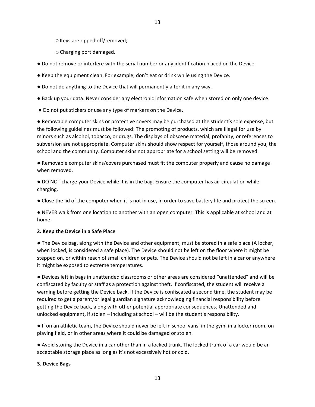○ Keys are ripped off/removed;

○ Charging port damaged.

- Do not remove or interfere with the serial number or any identification placed on the Device.
- Keep the equipment clean. For example, don't eat or drink while using the Device.
- Do not do anything to the Device that will permanently alter it in any way.
- Back up your data. Never consider any electronic information safe when stored on only one device.
- Do not put stickers or use any type of markers on the Device.

● Removable computer skins or protective covers may be purchased at the student's sole expense, but the following guidelines must be followed: The promoting of products, which are illegal for use by minors such as alcohol, tobacco, or drugs. The displays of obscene material, profanity, or references to subversion are not appropriate. Computer skins should show respect for yourself, those around you, the school and the community. Computer skins not appropriate for a school setting will be removed.

● Removable computer skins/covers purchased must fit the computer properly and cause no damage when removed.

● DO NOT charge your Device while it is in the bag. Ensure the computer has air circulation while charging.

● Close the lid of the computer when it is not in use, in order to save battery life and protect the screen.

● NEVER walk from one location to another with an open computer. This is applicable at school and at home.

#### **2. Keep the Device in a Safe Place**

● The Device bag, along with the Device and other equipment, must be stored in a safe place (A locker, when locked, is considered a safe place). The Device should not be left on the floor where it might be stepped on, or within reach of small children or pets. The Device should not be left in a car or anywhere it might be exposed to extreme temperatures.

● Devices left in bags in unattended classrooms or other areas are considered "unattended" and will be confiscated by faculty or staff as a protection against theft. If confiscated, the student will receive a warning before getting the Device back. If the Device is confiscated a second time, the student may be required to get a parent/or legal guardian signature acknowledging financial responsibility before getting the Device back, along with other potential appropriate consequences. Unattended and unlocked equipment, if stolen – including at school – will be the student's responsibility.

● If on an athletic team, the Device should never be left in school vans, in the gym, in a locker room, on playing field, or in other areas where it could be damaged or stolen.

● Avoid storing the Device in a car other than in a locked trunk. The locked trunk of a car would be an acceptable storage place as long as it's not excessively hot or cold.

#### **3. Device Bags**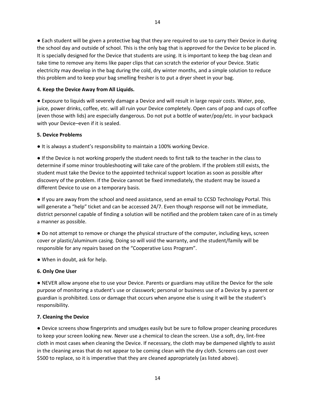● Each student will be given a protective bag that they are required to use to carry their Device in during the school day and outside of school. This is the only bag that is approved for the Device to be placed in. It is specially designed for the Device that students are using. It is important to keep the bag clean and take time to remove any items like paper clips that can scratch the exterior of your Device. Static electricity may develop in the bag during the cold, dry winter months, and a simple solution to reduce this problem and to keep your bag smelling fresher is to put a dryer sheet in your bag.

#### **4. Keep the Device Away from All Liquids.**

● Exposure to liquids will severely damage a Device and will result in large repair costs. Water, pop, juice, power drinks, coffee, etc. will all ruin your Device completely. Open cans of pop and cups of coffee (even those with lids) are especially dangerous. Do not put a bottle of water/pop/etc. in your backpack with your Device–even if it is sealed.

#### **5. Device Problems**

● It is always a student's responsibility to maintain a 100% working Device.

● If the Device is not working properly the student needs to first talk to the teacher in the class to determine if some minor troubleshooting will take care of the problem. If the problem still exists, the student must take the Device to the appointed technical support location as soon as possible after discovery of the problem. If the Device cannot be fixed immediately, the student may be issued a different Device to use on a temporary basis.

● If you are away from the school and need assistance, send an email to CCSD Technology Portal. This will generate a "help" ticket and can be accessed 24/7. Even though response will not be immediate, district personnel capable of finding a solution will be notified and the problem taken care of in as timely a manner as possible.

● Do not attempt to remove or change the physical structure of the computer, including keys, screen cover or plastic/aluminum casing. Doing so will void the warranty, and the student/family will be responsible for any repairs based on the "Cooperative Loss Program".

● When in doubt, ask for help.

#### **6. Only One User**

● NEVER allow anyone else to use your Device. Parents or guardians may utilize the Device for the sole purpose of monitoring a student's use or classwork; personal or business use of a Device by a parent or guardian is prohibited. Loss or damage that occurs when anyone else is using it will be the student's responsibility.

#### **7. Cleaning the Device**

● Device screens show fingerprints and smudges easily but be sure to follow proper cleaning procedures to keep your screen looking new. Never use a chemical to clean the screen. Use a soft, dry, lint-free cloth in most cases when cleaning the Device. If necessary, the cloth may be dampened slightly to assist in the cleaning areas that do not appear to be coming clean with the dry cloth. Screens can cost over \$500 to replace, so it is imperative that they are cleaned appropriately (as listed above).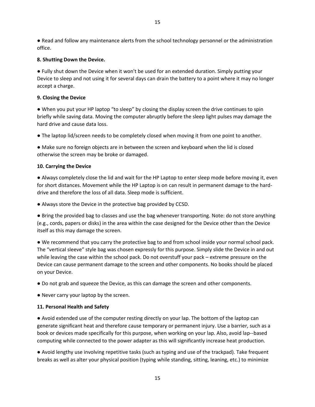● Read and follow any maintenance alerts from the school technology personnel or the administration office.

#### **8. Shutting Down the Device.**

● Fully shut down the Device when it won't be used for an extended duration. Simply putting your Device to sleep and not using it for several days can drain the battery to a point where it may no longer accept a charge.

#### **9. Closing the Device**

● When you put your HP laptop "to sleep" by closing the display screen the drive continues to spin briefly while saving data. Moving the computer abruptly before the sleep light pulses may damage the hard drive and cause data loss.

● The laptop lid/screen needs to be completely closed when moving it from one point to another.

● Make sure no foreign objects are in between the screen and keyboard when the lid is closed otherwise the screen may be broke or damaged.

#### **10. Carrying the Device**

● Always completely close the lid and wait for the HP Laptop to enter sleep mode before moving it, even for short distances. Movement while the HP Laptop is on can result in permanent damage to the harddrive and therefore the loss of all data. Sleep mode is sufficient.

● Always store the Device in the protective bag provided by CCSD.

● Bring the provided bag to classes and use the bag whenever transporting. Note: do not store anything (e.g., cords, papers or disks) in the area within the case designed for the Device other than the Device itself as this may damage the screen.

● We recommend that you carry the protective bag to and from school inside your normal school pack. The "vertical sleeve" style bag was chosen expressly for this purpose. Simply slide the Device in and out while leaving the case within the school pack. Do not overstuff your pack – extreme pressure on the Device can cause permanent damage to the screen and other components. No books should be placed on your Device.

● Do not grab and squeeze the Device, as this can damage the screen and other components.

● Never carry your laptop by the screen.

#### **11. Personal Health and Safety**

● Avoid extended use of the computer resting directly on your lap. The bottom of the laptop can generate significant heat and therefore cause temporary or permanent injury. Use a barrier, such as a book or devices made specifically for this purpose, when working on your lap. Also, avoid lap--based computing while connected to the power adapter as this will significantly increase heat production.

● Avoid lengthy use involving repetitive tasks (such as typing and use of the trackpad). Take frequent breaks as well as alter your physical position (typing while standing, sitting, leaning, etc.) to minimize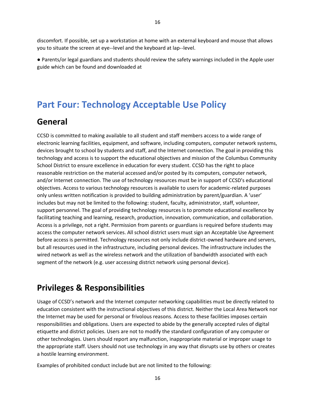discomfort. If possible, set up a workstation at home with an external keyboard and mouse that allows you to situate the screen at eye--level and the keyboard at lap--level.

● Parents/or legal guardians and students should review the safety warnings included in the Apple user guide which can be found and downloaded at

### **Part Four: Technology Acceptable Use Policy**

### **General**

CCSD is committed to making available to all student and staff members access to a wide range of electronic learning facilities, equipment, and software, including computers, computer network systems, devices brought to school by students and staff, and the Internet connection. The goal in providing this technology and access is to support the educational objectives and mission of the Columbus Community School District to ensure excellence in education for every student. CCSD has the right to place reasonable restriction on the material accessed and/or posted by its computers, computer network, and/or Internet connection. The use of technology resources must be in support of CCSD's educational objectives. Access to various technology resources is available to users for academic-related purposes only unless written notification is provided to building administration by parent/guardian. A 'user' includes but may not be limited to the following: student, faculty, administrator, staff, volunteer, support personnel. The goal of providing technology resources is to promote educational excellence by facilitating teaching and learning, research, production, innovation, communication, and collaboration. Access is a privilege, not a right. Permission from parents or guardians is required before students may access the computer network services. All school district users must sign an Acceptable Use Agreement before access is permitted. Technology resources not only include district-owned hardware and servers, but all resources used in the infrastructure, including personal devices. The infrastructure includes the wired network as well as the wireless network and the utilization of bandwidth associated with each segment of the network (e.g. user accessing district network using personal device).

### **Privileges & Responsibilities**

Usage of CCSD's network and the Internet computer networking capabilities must be directly related to education consistent with the instructional objectives of this district. Neither the Local Area Network nor the Internet may be used for personal or frivolous reasons. Access to these facilities imposes certain responsibilities and obligations. Users are expected to abide by the generally accepted rules of digital etiquette and district policies. Users are not to modify the standard configuration of any computer or other technologies. Users should report any malfunction, inappropriate material or improper usage to the appropriate staff. Users should not use technology in any way that disrupts use by others or creates a hostile learning environment.

Examples of prohibited conduct include but are not limited to the following: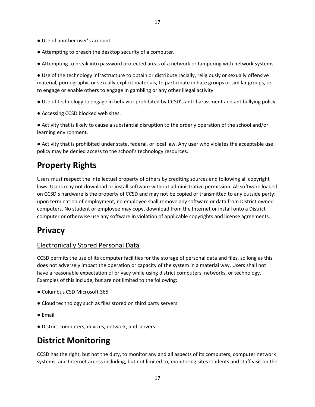- Use of another user's account.
- Attempting to breach the desktop security of a computer.
- Attempting to break into password protected areas of a network or tampering with network systems.

● Use of the technology infrastructure to obtain or distribute racially, religiously or sexually offensive material, pornographic or sexually explicit materials, to participate in hate groups or similar groups, or to engage or enable others to engage in gambling or any other illegal activity.

- Use of technology to engage in behavior prohibited by CCSD's anti-harassment and antibullying policy.
- Accessing CCSD blocked web sites.

● Activity that is likely to cause a substantial disruption to the orderly operation of the school and/or learning environment.

● Activity that is prohibited under state, federal, or local law. Any user who violates the acceptable use policy may be denied access to the school's technology resources.

### **Property Rights**

Users must respect the intellectual property of others by crediting sources and following all copyright laws. Users may not download or install software without administrative permission. All software loaded on CCSD's hardware is the property of CCSD and may not be copied or transmitted to any outside party: upon termination of employment, no employee shall remove any software or data from District owned computers. No student or employee may copy, download from the Internet or install onto a District computer or otherwise use any software in violation of applicable copyrights and license agreements.

### **Privacy**

### Electronically Stored Personal Data

CCSD permits the use of its computer facilities for the storage of personal data and files, so long as this does not adversely impact the operation or capacity of the system in a material way. Users shall not have a reasonable expectation of privacy while using district computers, networks, or technology. Examples of this include, but are not limited to the following:

- Columbus CSD Microsoft 365
- Cloud technology such as files stored on third party servers
- Email
- District computers, devices, network, and servers

### **District Monitoring**

CCSD has the right, but not the duty, to monitor any and all aspects of its computers, computer network systems, and Internet access including, but not limited to, monitoring sites students and staff visit on the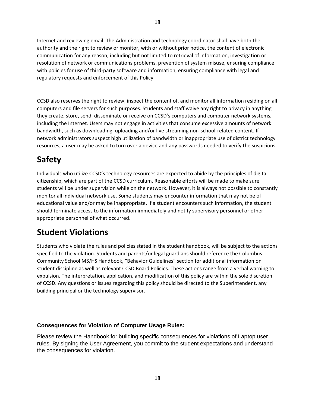Internet and reviewing email. The Administration and technology coordinator shall have both the authority and the right to review or monitor, with or without prior notice, the content of electronic communication for any reason, including but not limited to retrieval of information, investigation or resolution of network or communications problems, prevention of system misuse, ensuring compliance with policies for use of third-party software and information, ensuring compliance with legal and regulatory requests and enforcement of this Policy.

CCSD also reserves the right to review, inspect the content of, and monitor all information residing on all computers and file servers for such purposes. Students and staff waive any right to privacy in anything they create, store, send, disseminate or receive on CCSD's computers and computer network systems, including the Internet. Users may not engage in activities that consume excessive amounts of network bandwidth, such as downloading, uploading and/or live streaming non-school-related content. If network administrators suspect high utilization of bandwidth or inappropriate use of district technology resources, a user may be asked to turn over a device and any passwords needed to verify the suspicions.

# **Safety**

Individuals who utilize CCSD's technology resources are expected to abide by the principles of digital citizenship, which are part of the CCSD curriculum. Reasonable efforts will be made to make sure students will be under supervision while on the network. However, it is always not possible to constantly monitor all individual network use. Some students may encounter information that may not be of educational value and/or may be inappropriate. If a student encounters such information, the student should terminate access to the information immediately and notify supervisory personnel or other appropriate personnel of what occurred.

# **Student Violations**

Students who violate the rules and policies stated in the student handbook, will be subject to the actions specified to the violation. Students and parents/or legal guardians should reference the Columbus Community School MS/HS Handbook, "Behavior Guidelines" section for additional information on student discipline as well as relevant CCSD Board Policies. These actions range from a verbal warning to expulsion. The interpretation, application, and modification of this policy are within the sole discretion of CCSD. Any questions or issues regarding this policy should be directed to the Superintendent, any building principal or the technology supervisor.

#### **Consequences for Violation of Computer Usage Rules:**

Please review the Handbook for building specific consequences for violations of Laptop user rules. By signing the User Agreement, you commit to the student expectations and understand the consequences for violation.